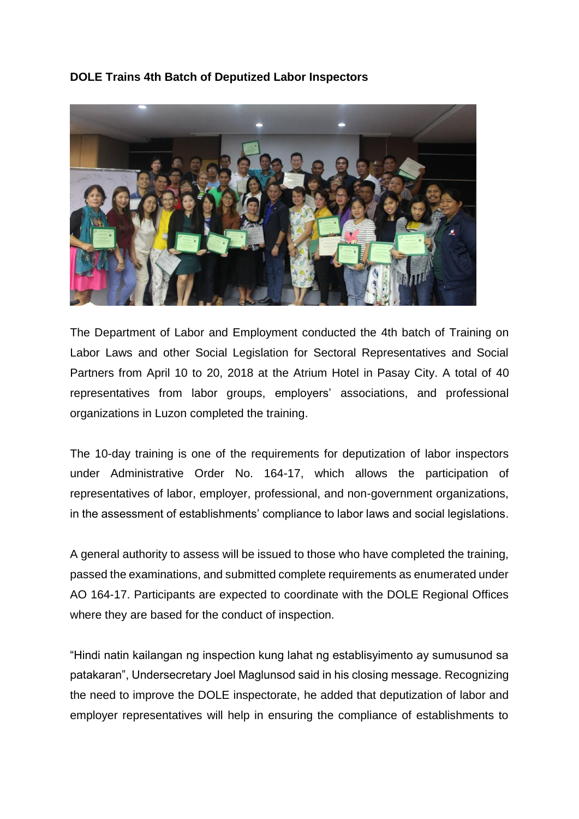## **DOLE Trains 4th Batch of Deputized Labor Inspectors**



The Department of Labor and Employment conducted the 4th batch of Training on Labor Laws and other Social Legislation for Sectoral Representatives and Social Partners from April 10 to 20, 2018 at the Atrium Hotel in Pasay City. A total of 40 representatives from labor groups, employers' associations, and professional organizations in Luzon completed the training.

The 10-day training is one of the requirements for deputization of labor inspectors under Administrative Order No. 164-17, which allows the participation of representatives of labor, employer, professional, and non-government organizations, in the assessment of establishments' compliance to labor laws and social legislations.

A general authority to assess will be issued to those who have completed the training, passed the examinations, and submitted complete requirements as enumerated under AO 164-17. Participants are expected to coordinate with the DOLE Regional Offices where they are based for the conduct of inspection.

"Hindi natin kailangan ng inspection kung lahat ng establisyimento ay sumusunod sa patakaran", Undersecretary Joel Maglunsod said in his closing message. Recognizing the need to improve the DOLE inspectorate, he added that deputization of labor and employer representatives will help in ensuring the compliance of establishments to